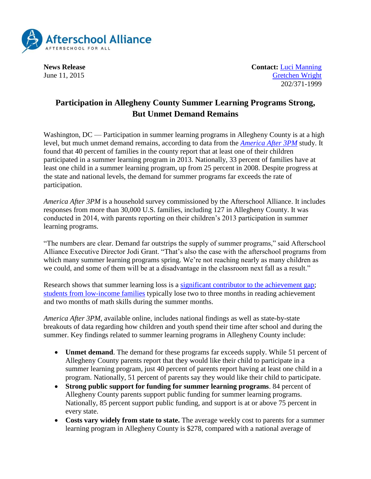

**News Release Contact:** [Luci Manning](mailto:luci@prsolutionsdc.com) June 11, 2015 [Gretchen Wright](mailto:gretchen@prsolutionsdc.com) 202/371-1999

## **Participation in Allegheny County Summer Learning Programs Strong, But Unmet Demand Remains**

Washington, DC — Participation in summer learning programs in Allegheny County is at a high level, but much unmet demand remains, according to data from the *[America After 3PM](http://www.afterschoolalliance.org/AA3PM)* study. It found that 40 percent of families in the county report that at least one of their children participated in a summer learning program in 2013. Nationally, 33 percent of families have at least one child in a summer learning program, up from 25 percent in 2008. Despite progress at the state and national levels, the demand for summer programs far exceeds the rate of participation.

*America After 3PM* is a household survey commissioned by the Afterschool Alliance. It includes responses from more than 30,000 U.S. families, including 127 in Allegheny County. It was conducted in 2014, with parents reporting on their children's 2013 participation in summer learning programs.

"The numbers are clear. Demand far outstrips the supply of summer programs," said Afterschool Alliance Executive Director Jodi Grant. "That's also the case with the afterschool programs from which many summer learning programs spring. We're not reaching nearly as many children as we could, and some of them will be at a disadvantage in the classroom next fall as a result."

Research shows that summer learning loss is a [significant contributor to the achievement gap;](http://www.ewa.org/sites/main/files/file-attachments/summer_learning_gap-2.pdf) [students from low-income families](http://psychandneuro.duke.edu/uploads/media_items/summer-learning-loss.original.pdf) typically lose two to three months in reading achievement and two months of math skills during the summer months.

*America After 3PM*, available online, includes national findings as well as state-by-state breakouts of data regarding how children and youth spend their time after school and during the summer. Key findings related to summer learning programs in Allegheny County include:

- **Unmet demand**. The demand for these programs far exceeds supply. While 51 percent of Allegheny County parents report that they would like their child to participate in a summer learning program, just 40 percent of parents report having at least one child in a program. Nationally, 51 percent of parents say they would like their child to participate.
- **Strong public support for funding for summer learning programs**. 84 percent of Allegheny County parents support public funding for summer learning programs. Nationally, 85 percent support public funding, and support is at or above 75 percent in every state.
- **Costs vary widely from state to state.** The average weekly cost to parents for a summer learning program in Allegheny County is \$278, compared with a national average of